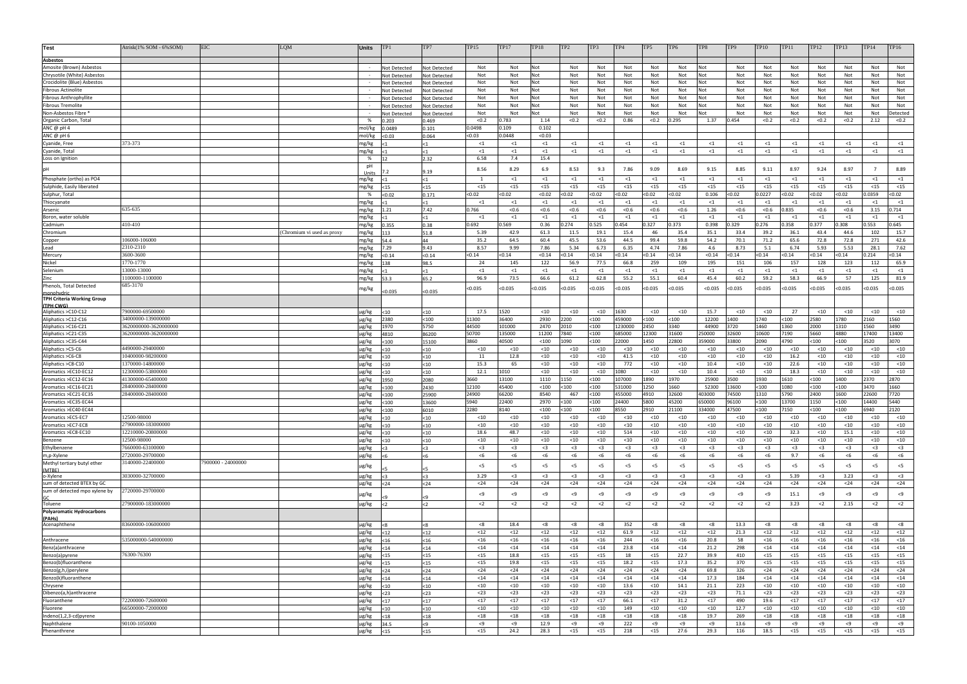| <b>Test</b>                                               | Atrisk(1% SOM - 6%SOM)                | EIC                | LQM                       | <b>Units</b>   | TP <sub>1</sub>              | TP7                          | <b>TP15</b>       | <b>TP17</b>     | <b>TP18</b>       | TP <sub>2</sub>   | TP3               | TP4               | TP5               | TP <sub>6</sub>   | TP8              | TP <sub>9</sub>   | <b>TP10</b>       | <b>TP11</b>      | TP12              | <b>TP13</b>       | TP14             | TP16              |
|-----------------------------------------------------------|---------------------------------------|--------------------|---------------------------|----------------|------------------------------|------------------------------|-------------------|-----------------|-------------------|-------------------|-------------------|-------------------|-------------------|-------------------|------------------|-------------------|-------------------|------------------|-------------------|-------------------|------------------|-------------------|
| <b>Asbestos</b>                                           |                                       |                    |                           |                |                              |                              |                   |                 |                   |                   |                   |                   |                   |                   |                  |                   |                   |                  |                   |                   |                  |                   |
| Amosite (Brown) Asbestos                                  |                                       |                    |                           |                | Not Detected                 | Not Detected                 | Not               | Not             | Not               | Not               | Not               | Not               | Not               | Not               | Not              | Not               | Not               | Not              | Not               | Not               | Not              | Not               |
| Chrysotile (White) Asbestos                               |                                       |                    |                           |                | Not Detected                 | Not Detected                 | Not               | Not             | Not               | Not               | Not               | Not               | Not               | Not               | Not              | Not               | Not               | Not              | Not               | Not               | Not              | Not               |
| Crocidolite (Blue) Asbestos                               |                                       |                    |                           |                | Not Detected                 | Not Detected                 | Not               | Not             | Not               | Not               | Not               | Not               | Not               | Not               | Not              | Not               | Not               | Not              | Not               | Not               | Not              | Not               |
| <b>Fibrous Actinolite</b>                                 |                                       |                    |                           |                | Not Detected                 | Not Detected                 | Not               | Not             | Not               | Not               | Not               | Not               | Not               | Not               | Not              | Not               | Not               | Not              | Not               | Not               | Not              | Not               |
| <b>Fibrous Anthrophyllite</b><br><b>Fibrous Tremolite</b> |                                       |                    |                           |                | Not Detected                 | Not Detected                 | Not<br>Not        | Not<br>Not      | Not<br>Not        | Not<br>Not        | Not<br>Not        | Not<br>Not        | Not<br>Not        | Not<br>Not        | Not<br>Not       | Not<br>Not        | Not<br>Not        | Not<br>Not       | Not<br>Not        | Not<br>Not        | Not<br>Not       | Not<br>Not        |
| Non-Asbestos Fibre                                        |                                       |                    |                           |                | Not Detected<br>Not Detected | Not Detected<br>Not Detected | Not               | Not             | Not               | Not               | Not               | Not               | Not               | Not               | <b>Not</b>       | Not               | Not               | Not              | Not               | Not               | Not              | Detected          |
| Organic Carbon, Total                                     |                                       |                    |                           | %              | 0.203                        | 0.469                        | < 0.2             | ).783           | 1.14              | < 0.2             | < 0.2             | 0.86              | < 0.2             | 0.295             | 1.37             | 0.454             | < 0.2             | < 0.2            | < 0.2             | < 0.2             | 2.12             | < 0.2             |
| ANC @ pH 4                                                |                                       |                    |                           | mol/kg         | 0.0489                       | 0.101                        | 0.0498            | 0.109           | 0.102             |                   |                   |                   |                   |                   |                  |                   |                   |                  |                   |                   |                  |                   |
| ANC @ pH 6                                                |                                       |                    |                           | mol/kg         | < 0.03                       | 0.064                        | < 0.03            | .0448           | < 0.03            |                   |                   |                   |                   |                   |                  |                   |                   |                  |                   |                   |                  |                   |
| Cyanide, Free                                             | 373-373                               |                    |                           | mg/kg          |                              |                              | $\leq$ 1          | $\leq 1$        | $\leq 1$          | $\leq 1$          | $\leq 1$          | $\leq 1$          | $\leq 1$          | $\leq 1$          | $\leq 1$         | $\leq 1$          | $\leq 1$          | $\leq 1$         | $\leq 1$          | $\leq 1$          | $\leq 1$         | $\leq 1$          |
| Cyanide, Total                                            |                                       |                    |                           | mg/kg          |                              |                              | $<$ 1             | $\leq 1$        | $\leq 1$          | $\leq 1$          | $\leq 1$          | $\leq 1$          | $\leq 1$          | $\leq 1$          | $\leq 1$         | $\leq 1$          | $\leq 1$          | $\leq 1$         | $\leq 1$          | $\leq 1$          | $\leq$ 1         | $\leq 1$          |
| Loss on Ignitior                                          |                                       |                    |                           | %<br>pH        |                              | 2.32                         | 6.58              | 7.4             | 15.4              |                   |                   |                   |                   |                   |                  |                   |                   |                  |                   |                   |                  |                   |
|                                                           |                                       |                    |                           | Units          |                              | 9.19                         | 8.56              | 8.29            | 6.9               | 8.53              | 9.3               | 7.86              | 9.09              | 8.69              | 9.15             | 8.85              | 9.11              | 8.97             | 9.24              | 8.97              |                  | 8.89              |
| Phosphate (ortho) as PO4                                  |                                       |                    |                           | mg/kg          |                              |                              |                   | $\leq 1$        | $\leq 1$          | $\leq 1$          | $\leq 1$          | $\leq 1$          | $\leq 1$          | $\leq 1$          | $\leq$ 1         | $\leq 1$          | $\leq 1$          | $\leq 1$         | $\leq 1$          | $\leq 1$          | $\leq 1$         | $\leq 1$          |
| Sulphide, Easily liberated                                |                                       |                    |                           | mg/kg          | $15$                         | $15$                         | $15$              | $<15$           | $15$              | $15$              | $15$              | $15$              | $15$              | $15$              | $15$             | $15$              | $15$              | $15$             | $15$              | $15$              | $15$             | $15$              |
| Sulphur, Total                                            |                                       |                    |                           | %              | < 0.02                       | 0.171                        | < 0.02            | 0.02            | < 0.02            | < 0.02            | 0.02              | <0.02             | < 0.02            | < 0.02            | 0.106            | < 0.02            | 0.0227            | <0.02            | < 0.02            | < 0.02            | .0359            | < 0.02            |
| Thiocyanate                                               | 635-635                               |                    |                           | mg/kg          |                              |                              | $\leq 1$<br>0.766 | <1<br>< 0.6     | $\leq 1$<br>< 0.6 | $\leq 1$<br>< 0.6 | $\leq 1$<br>< 0.6 | $\leq 1$<br>< 0.6 | $\leq 1$<br>< 0.6 | $\leq 1$<br>< 0.6 | $\leq 1$<br>1.26 | $\leq 1$<br>< 0.6 | $\leq 1$<br>< 0.6 | $\leq 1$<br>.835 | $\leq 1$<br>< 0.6 | $\leq 1$<br>< 0.6 | $\leq 1$<br>3.15 | $\leq$ 1<br>0.714 |
| Arsenic<br>Boron, water soluble                           |                                       |                    |                           | mg/kg<br>mg/kg | 1.21                         | 7.42                         | $\leq 1$          | $\leq 1$        | $\leq 1$          | $\leq 1$          | $\leq 1$          | $\leq 1$          | $\leq$ 1          | $\leq$ 1          | $\leq$ 1         | $\leq 1$          | $<$ 1             | $\leq 1$         | $\leq 1$          | $\leq 1$          | $\leq 1$         | $\leq$ 1          |
| Cadmium                                                   | 410-410                               |                    |                           | mg/kg          | 0.355                        | 0.38                         | 0.692             | .569            | 0.36              | 0.274             | .525              | 0.454             | 0.327             | 0.373             | 0.398            | 0.329             | 0.276             | 0.358            | 0.377             | 0.308             | .553             | 0.645             |
| Chromium                                                  |                                       |                    | Chromium vi used as proxy | mg/kg          |                              | 51.8                         | 5.39              | 42.9            | 61.3              | 11.5              | 19.1              | 15.4              | 46                | 35.4              | 35.1             | 33.4              | 39.2              | 36.1             | 43.4              | 44.6              | 102              | 15.7              |
| Copper                                                    | 106000-106000                         |                    |                           | mg/kg          | 54.4                         | 44                           | 35.2              | 64.5            | 60.4              | 45.5              | 53.6              | 44.5              | 99.4              | 59.8              | 54.2             | 70.1              | 71.2              | 65.6             | 72.8              | 72.8              | 271              | 42.6              |
| Lead                                                      | 2310-2310                             |                    |                           | mg/kg          | 7.29                         | 9.43                         | 8.57              | 9.99            | 7.86              | 5.34              | 6.73              | 6.35              | 4.74              | 7.86              | 4.6              | 8.73              | 5.1               | 6.74             | 5.93              | 5.53              | 28.1             | 7.62              |
| Mercury                                                   | 3600-3600                             |                    |                           | mg/kg          | < 0.14                       | < 0.14                       | < 0.14            | <0.14           | < 0.14            | < 0.14            | 0.14              | < 0.14            | < 0.14            | < 0.14            | < 0.14           | < 0.14            | < 0.14            | < 0.14           | < 0.14            | < 0.14            | .214             | < 0.14            |
| Nickel<br>Selenium                                        | 1770-1770<br>13000-13000              |                    |                           | mg/kg<br>mg/kg | 138                          | 98.5                         | 24<br>$\leq 1$    | 145<br>$\leq 1$ | 122<br>$\leq 1$   | 56.9<br>$\leq 1$  | 77.5<br>$\leq 1$  | 66.8<br>$\leq 1$  | 259<br>$\leq 1$   | 109<br>$\leq 1$   | 195<br>$\leq 1$  | 151<br>$\leq 1$   | 106<br>$\leq 1$   | 157<br>$\leq 1$  | 128<br>$\leq 1$   | 123<br>$\leq 1$   | 112<br>$\leq 1$  | 65.9<br>$\leq 1$  |
| Zinc                                                      | 100000-1100000                        |                    |                           | mg/kg          | 53.3                         | 65.2                         | 96.9              | 73.5            | 66.6              | 61.2              | 62.8              | 55.2              | 55.1              | 60.4              | 45.4             | 60.2              | 59.2              | 58.3             | 66.9              | 57                | 125              | 81.9              |
| Phenols, Total Detected                                   | 685-3170                              |                    |                           |                |                              |                              |                   |                 |                   |                   |                   |                   |                   |                   |                  |                   |                   |                  |                   |                   |                  |                   |
| monohydrig                                                |                                       |                    |                           | mg/kg          | < 0.035                      | < 0.035                      | <0.035            | 0.035           | 0.035             | <0.035            | :0.035            | <0.035            | <0.035            | <0.035            | < 0.035          | <0.035            | < 0.035           | <0.035           | <0.035            | 0.035             | 0.035            | <0.035            |
| <b>TPH Criteria Working Group</b><br>(TPH CWG)            |                                       |                    |                           |                |                              |                              |                   |                 |                   |                   |                   |                   |                   |                   |                  |                   |                   |                  |                   |                   |                  |                   |
| Aliphatics >C10-C12                                       | 7900000-69500000                      |                    |                           | µg/kg          | $<$ 10                       | <10                          | 17.5              | 1520            | $<$ 10            | $<$ 10            | $<$ 10            | 1630              | $<$ 10            | $<$ 10            | 15.7             | $<$ 10            | $<$ 10            | 27               | $<$ 10            | $<$ 10            | $<$ 10           | $<$ 10            |
| Aliphatics >C12-C16                                       | 34000000-139000000                    |                    |                           | µg/kg          | 2380                         | $100$                        | 1300              | 36400           | 2930              | 2200              | <100              | 459000            | <100              | $100$             | 12200            | 1400              | 1740              | <100             | 2580              | 1780              | 160              | 1560              |
| Aliphatics >C16-C21                                       | 3620000000-3620000000                 |                    |                           | µg/kg          | 1970                         | 5750                         | 44500             | 101000          | 2470              | 2010              | $100$             | 1230000           | 2450              | 3340              | 44900            | 3720              | 1460              | 1360             | 2000              | 1310              | 1560             | 3490              |
| Aliphatics >C21-C35                                       | 3620000000-3620000000                 |                    |                           | $\mu$ g/kg     | 4810                         | 86200                        | 50700             | 135000          | 11200             | 7840              | <100              | 685000            | 12300             | 31600             | 250000           | 32600             | 10600             | 7190             | 5660              | 4880              | 17400            | 13400             |
| Aliphatics > C35-C44                                      |                                       |                    |                           | $\mu$ g/kg     | $100$                        | 15100                        | 3860              | 40500           | $<$ 100           | 1090              | <100              | 22000             | 1450              | 22800             | 359000           | 33800             | 2090              | 4790             | < 100             | $100$             | 3520             | 3070              |
| Aliphatics > C5-C6                                        | 4490000-29400000                      |                    |                           | $\mu$ g/kg     | <10                          | $<$ 10                       | $<$ 10            | $<$ 10          | $<$ 10            | $10$              | $<$ 10            | $<$ 10            | $<$ 10            | $<$ 10            | $<$ 10           | $<$ 10            | $<$ 10            | $<$ 10           | $<$ 10            | $<$ 10            | $<$ 10           | $<$ 10            |
| Aliphatics >C6-C8                                         | 10400000-98200000<br>1370000-14800000 |                    |                           | µg/kg          | <10                          | $10$                         | 11<br>15.3        | 12.8<br>65      | $<$ 10<br>$<$ 10  | $<$ 10            | $<$ 10<br>$<$ 10  | 41.5<br>772       | $<$ 10            | $<$ 10<br>$<$ 10  | $<$ 10<br>10.4   | $<$ 10<br>$<$ 10  | $<$ 10<br>$<$ 10  | 16.2<br>22.6     | $10$<br>$<$ 10    | $<$ 10<br>$<$ 10  | $<$ 10<br>$<$ 10 | $<$ 10<br>$<10$   |
| Aliphatics > C8-C10<br>Aromatics >EC10-EC12               | 12300000-53800000                     |                    |                           | µg/kg<br>µg/kg | <10<br>$<$ 10                | <10<br>$<$ 10                | 12.1              | 1010            | $<$ 10            | $<$ 10<br>$10$    | $<$ 10            | 1080              | $<$ 10<br>$<$ 10  | $<$ 10            | 10.4             | $<$ 10            | $<$ 10            | 18.3             | < 10              | $<$ 10            | $<$ 10           | $<$ 10            |
| Aromatics >EC12-EC16                                      | 41300000-65400000                     |                    |                           | $\mu$ g/kg     | 1950                         | 2080                         | 3660              | 13100           | 1110              | 1150              | <100              | 107000            | 1890              | 1970              | 25900            | 3500              | 1930              | 1610             | < 100             | 1400              | 2370             | 2870              |
| Aromatics >EC16-EC21                                      | 28400000-28400000                     |                    |                           | µg/kg          | $100$                        | 2430                         | 12100             | 45400           | $<$ 100           | $100$             | $100$             | 531000            | 1250              | 1660              | 52300            | 13600             | $<$ 100           | 1080             | < 100             | $100$             | 3470             | 1660              |
| Aromatics >EC21-EC35                                      | 28400000-28400000                     |                    |                           | µg/kg          | $100$                        | 25900                        | 24900             | 66200           | 8540              | 467               | $100$             | 455000            | 4910              | 32600             | 403000           | 74500             | 1310              | 5790             | 2400              | 1600              | 22600            | 7720              |
| Aromatics >EC35-EC44                                      |                                       |                    |                           | µg/kg          | $100$                        | 13600                        | 5940              | 22400           | 2970              | <100              | 100 <sub>o</sub>  | 24400             | 5800              | 45200             | 650000           | 96100             | $<$ 100           | 13700            | 1150              | $100$             | 14400            | 5440              |
| Aromatics >EC40-EC44                                      |                                       |                    |                           | µg/kg          | < 100                        | 6010                         | 2280              | 8140            | $<$ 100           | 100               | $<$ 100           | 8550              | 2910              | 21100             | 334000           | 47500             | $<$ 100           | 7150             | < 100             | < 100             | 5940             | 2120              |
| Aromatics >EC5-EC7                                        | 12500-98000<br>27900000-183000000     |                    |                           | µg/kg          | $10$                         | $10$                         | $<$ 10            | $<$ 10          | $<$ 10            | $<$ 10            | $<$ 10            | $<$ 10            | $<$ 10            | $<$ 10            | $<$ 10           | $<$ 10            | $<$ 10            | $<$ 10           | $<$ 10            | $<$ 10            | $<$ 10           | $<$ 10            |
| Aromatics >EC7-EC8<br>Aromatics >EC8-EC10                 | 12210000-20800000                     |                    |                           | µg/kg<br>µg/kg | $<$ 10<br>$<$ 10             | $<$ 10<br><10                | $<$ 10<br>18.6    | $<$ 10<br>48.7  | $<$ 10<br>$<$ 10  | $<$ 10<br>$<$ 10  | $<$ 10<br>$<$ 10  | $<$ 10<br>514     | $<$ 10<br>$<$ 10  | $<$ 10<br>$<$ 10  | $<$ 10<br>$<$ 10 | $<$ 10<br>$<$ 10  | $<$ 10<br>$<$ 10  | $<$ 10<br>32.3   | $10$<br>$10$      | $<$ 10<br>15.1    | $<$ 10<br>$<$ 10 | $<$ 10<br>$<$ 10  |
| Benzene                                                   | 12500-98000                           |                    |                           | µg/kg          | $<$ 10                       | $<$ 10                       | $<$ 10            | $<$ 10          | $<$ 10            | $<$ 10            | $<$ 10            | $<$ 10            | $<$ 10            | $<$ 10            | $<$ 10           | $<$ 10            | $<$ 10            | $<$ 10           | $<$ 10            | $<$ 10            | $<$ 10           | $<$ 10            |
| Ethylbenzene                                              | 7660000-63100000                      |                    |                           | µg/kg          |                              | <3                           | $3$               | $3$             | $3$               | $3$               | $3$               | $3$               | $3$               | $<$ 3             | $3$              | $3$               | $3$               | $3$              | $3$               | $3$               | $3$              | $3$               |
| m,p-Xylene                                                | 2720000-29700000                      |                    |                           | µg/kg          |                              | 55                           | < 6               | < 6             | <6                | < 6               | < 6               | < 6               | < 6               | < 6               | $<$ 6            | < 6               | < 6               | 9.7              | $<$ 6             | $<$ 6             | $<$ 6            | < 6               |
| Methyl tertiary butyl ether                               | 3140000-22400000                      | 7900000 - 24000000 |                           | µg/kg          |                              |                              | $<$ 5             | $<$ 5           | $<$ 5             | $<$ 5             | $<$ 5             | $<$ 5             | $<$ 5             | $<$ 5             | $<$ 5            | $<$ 5             | $<$ 5             | < 5              | $<$ 5             | $<$ 5             | $<$ 5            | $<$ 5             |
| (MTBE)<br>o-Xylene                                        | 3030000-32700000                      |                    |                           | µg/kg          |                              |                              | 3.29              | $3$             | $3$               | $3$               | $3$               | $3$               | $3$               | $3$               | $<$ 3            | $3$               | $3$               | 5.39             | $3$               | 3.23              | $<$ 3            | $3$               |
| sum of detected BTEX by GC                                |                                       |                    |                           | µg/kg          | $24$                         | $24$                         | $24$              | $24$            | $24$              | $24$              | $24$              | $24$              | $24$              | $24$              | $24$             | $24$              | $24$              | $24$             | $24$              | $24$              | $24$             | $24$              |
| sum of detected mpo xylene by                             | :720000-29700000                      |                    |                           |                |                              |                              | < 9               | < 9             | - 49              |                   | < 9               | < 9               | < 9               | < 9               | < 9              | < 9               | < 9               |                  | < 9               | < 9               | < 9              |                   |
| GC                                                        |                                       |                    |                           | µg/kg          |                              |                              |                   |                 |                   | - 49              |                   |                   |                   |                   |                  |                   |                   | 15.1             |                   |                   |                  | < 9               |
| Toluene                                                   | 27900000-183000000                    |                    |                           | µg/kg          |                              | $\epsilon$                   | $2$               | $2$             | $<$ 2             | $2$               | $<$ 2             | $2$               | $2$               | $2$               | $2$              | $2$               | $2$               | 3.23             | $2$               | 2.15              | $2$              | $<$ 2             |
| <b>Polyaromatic Hydrocarbons</b><br>(PAHs)                |                                       |                    |                           |                |                              |                              |                   |                 |                   |                   |                   |                   |                   |                   |                  |                   |                   |                  |                   |                   |                  |                   |
| Acenaphthene                                              | 83600000-106000000                    |                    |                           | µg/kg          |                              |                              | < 8               | 18.4            | - <8              | < 8               | <8                | 352               | < 8               | < 8               | < 8              | 13.3              | < 8               | < 8              | < 8               | < 8               | < 8              | < 8               |
|                                                           |                                       |                    |                           | µg/kg          | $12$                         | $12$                         | $<$ 12            | $<$ 12          | $12$              | $<$ 12            | $<$ 12            | 61.9              | $<$ 12            | $12$              | <12              | 21.3              | $12$              | $12$             | $12$              | $12$              | <12              | $12$              |
| Anthracene                                                | 535000000-540000000                   |                    |                           | µg/kg          | $<$ 16                       | $<$ 16                       | $<$ 16            | $<$ 16          | $<$ 16            | $<$ 16            | $<$ 16            | 244               | $<$ 16            | $<$ 16            | 20.8             | 58                | $<$ 16            | $<$ 16           | $<$ 16            | $<$ 16            | $<$ 16           | $<$ 16            |
| Benz(a)anthracene                                         |                                       |                    |                           | µg/kg          | $14$                         | $14$                         | $14$              | $14$            | $14$              | $14$              | $14$              | 23.8              | $14$              | $14$              | 21.2             | 298               | $14$              | $14$             | $14$              | $14$              | $14$             | $14$              |
| Benzo(a)pyrene                                            | 76300-76300                           |                    |                           | µg/kg          | $15$                         | $15$                         | $15$              | 18.8            | $15$              | $15$              | $15$              | 18                | $15$              | 22.7              | 39.9             | 410               | $15$              | $15$             | $15$              | $15$              | $15$             | $15$              |
| Benzo(b)fluoranthene<br>Benzo(g,h,i)perylene              |                                       |                    |                           | µg/kg<br>µg/kg | $15$                         | $15$                         | $15$<br>$24$      | 19.8<br>$24$    | $15$<br>$24$      | $15$<br>$24$      | $15$<br>$24$      | 18.2<br>$24$      | $15$<br>$24$      | 17.3<br>$24$      | 35.2<br>69.8     | 370<br>326        | $15$<br>$24$      | $15$<br>$24$     | $15$<br>$24$      | $15$<br>$24$      | $15$<br>$24$     | $15$<br>$24$      |
| Benzo(k)fluoranthene                                      |                                       |                    |                           | µg/kg          | $24$<br>$14$                 | $24$<br>$14$                 | $14$              | $14$            | $14$              | $14$              | $14$              | $14$              | $14$              | $14$              | 17.3             | 184               | $14$              | $14$             | $14$              | $14$              | $14$             | $14$              |
| Chrysene                                                  |                                       |                    |                           | µg/kg          | $<$ 10                       | $10$                         | $<$ 10            | $<$ 10          | $<$ 10            | $<$ 10            | $<$ 10            | 13.6              | $<$ 10            | 14.1              | 21.1             | 223               | $<$ 10            | $<$ 10           | $<$ 10            | $<$ 10            | $<$ 10           | $<$ 10            |
| Dibenzo(a,h)anthracene                                    |                                       |                    |                           | µg/kg          | $<$ 23                       | $23$                         | $23$              | $<$ 23          | $<$ 23            | $23$              | $<$ 23            | $<$ 23            | $<$ 23            | $<$ 23            | $23$             | 71.1              | $<$ 23            | $<$ 23           | $<$ 23            | $<$ 23            | $23$             | $<$ 23            |
| Fluoranthene                                              | 72200000-72600000                     |                    |                           | µg/kg          | <17                          | $17$                         | <17               | $17$            | $17$              | $17$              | $17$              | 66.1              | $<$ 17            | 31.2              | <17              | 490               | 19.6              | < 17             | $17$              | $17$              | <17              | $17$              |
| Fluorene                                                  | 66500000-72000000                     |                    |                           | µg/kg          | $<$ 10                       | $<$ 10                       | $<$ 10            | $<$ 10          | $<$ 10            | $<$ 10            | $<$ 10            | 149               | $<$ 10            | $<$ 10            | $<$ 10           | 12.7              | $<$ 10            | $<$ 10           | $<$ 10            | $<$ 10            | $<$ 10           | $<$ 10            |
| Indeno(1,2,3-cd)pyrene                                    |                                       |                    |                           | µg/kg          | <18                          | $18$                         | $18$              | $18$            | $18$              | $18$              | $18$              | $<$ 18            | $18$              | $18$              | 19.7             | 269               | $<$ 18            | $18$             | $18$              | $18$              | $18$             | $18$              |
| Naphthalene                                               |                                       |                    |                           |                | 34.5                         |                              |                   | <9              | 12.9              | - <9              | <9                | 222               | < 9               | <9                | - <9             | 13.6              | - 19              |                  | - 19              | <9                | <9               | < 9               |
| Phenanthrene                                              | 90100-1050000                         |                    |                           | µg/kg<br>µg/kg | $15$                         | ς۹<br>$15$                   | <9<br>$15$        | 24.2            | 28.3              | $15$              | $15$              | 218               | $15$              | 27.6              | 29.3             | 116               | 18.5              | - <9<br>$15$     | $15$              | $15$              | $15$             | $15$              |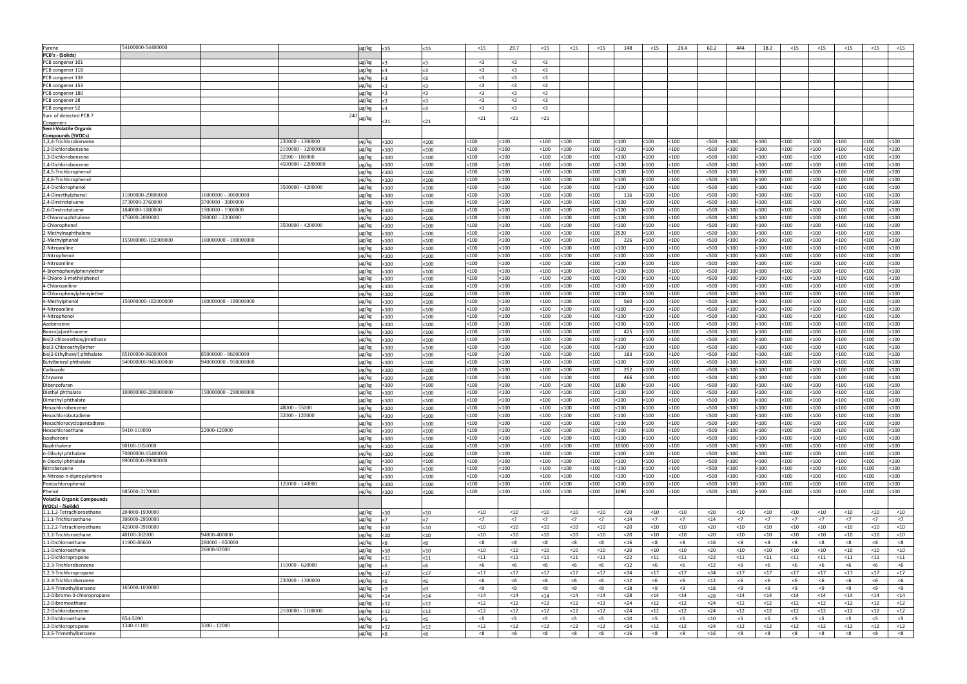| Pyrene                            | 54100000-54400000   |                       |                       | µg/kg<br><15           | <15      | $15$    | 29.7         | $15$                | $15$   | $15$         | 148     | $15$    | 29.4    | 60.2   | 444    | 18.2    | $15$        | $15$   | $15$         | $15$    | $15$    |
|-----------------------------------|---------------------|-----------------------|-----------------------|------------------------|----------|---------|--------------|---------------------|--------|--------------|---------|---------|---------|--------|--------|---------|-------------|--------|--------------|---------|---------|
| <b>PCB's - (Solids)</b>           |                     |                       |                       |                        |          |         |              |                     |        |              |         |         |         |        |        |         |             |        |              |         |         |
| PCB congener 101                  |                     |                       |                       | µg/kg<br>$\leq$ 3      | 5>       | $3$     | $3$          | $3$                 |        |              |         |         |         |        |        |         |             |        |              |         |         |
| PCB congener 118                  |                     |                       |                       |                        |          | $3$     | $3$          | $3$                 |        |              |         |         |         |        |        |         |             |        |              |         |         |
|                                   |                     |                       |                       | µg/kg<br>$3$           | $3$      |         |              |                     |        |              |         |         |         |        |        |         |             |        |              |         |         |
| PCB congener 138                  |                     |                       |                       | µg/kg<br>$3$           | $3$      | $3$     | $3$          | $3$                 |        |              |         |         |         |        |        |         |             |        |              |         |         |
| PCB congener 153                  |                     |                       |                       | µg/kg<br>$3$           | $3$      | $3$     | $3$          | $<$ 3               |        |              |         |         |         |        |        |         |             |        |              |         |         |
| PCB congener 180                  |                     |                       |                       | $\mu$ g/kg<br>$3$      | $\leq$ 3 | $3$     | $3$          | $3$                 |        |              |         |         |         |        |        |         |             |        |              |         |         |
| PCB congener 28                   |                     |                       |                       | $\mu$ g/kg<br>$\leq$ 3 | <3       | $3$     | $3$          | $<$ 3               |        |              |         |         |         |        |        |         |             |        |              |         |         |
| PCB congener 52                   |                     |                       |                       | µg/kg<br>$\leq$ 3      | $3$      | $3$     | $3$          | $3$                 |        |              |         |         |         |        |        |         |             |        |              |         |         |
| Sum of detected PCB 7             |                     |                       |                       |                        |          | $21$    | $21$         | $21$                |        |              |         |         |         |        |        |         |             |        |              |         |         |
| <u>Congeners</u>                  |                     |                       |                       |                        | $21$     |         |              |                     |        |              |         |         |         |        |        |         |             |        |              |         |         |
| Semi-Volatile Organic             |                     |                       |                       |                        |          |         |              |                     |        |              |         |         |         |        |        |         |             |        |              |         |         |
| <b>Compounds (SVOCs)</b>          |                     |                       |                       |                        |          |         |              |                     |        |              |         |         |         |        |        |         |             |        |              |         |         |
| 1,2,4-Trichlorobenzene            |                     |                       | 230000 - 1300000      | µg/kg<br>< 100         | $100$    | <100    | $<$ 100      | $<$ 100             | $100$  | $<$ 100      | <100    | $<$ 100 | < 100   | $500$  | < 100  | < 100   | <100        | $100$  | $100$        | <100    | $<$ 100 |
| 1,2-Dichlorobenzene               |                     |                       | :100000 -<br>12000000 | µg/kg<br>< 100         | $<$ 100  | 100     | $<$ 100      | $<$ 100             | $100$  | $100$        | 100     | <100    | $100$   | $500$  | < 100  | $100$   | 100ء        | <100   | $100$        | <100    | <100    |
| 1,3-Dichlorobenzene               |                     |                       | 32000 - 180000        | µg/kg<br>$100$         | $100$    | $100$   | $100$        | $<$ 100             | $100$  | $100$        | <100    | $100$   | $100$   | $500$  | < 100  | $<$ 100 | 100ء        | $100$  | < 100        | $<$ 100 | <100    |
| 1,4-Dichlorobenzene               |                     |                       | 4500000 - 22000000    | $100$<br>µg/kg         | $<$ 100  | $100$   | $100$        | $<$ 100             | $100$  | $100$        | <100    | < 100   | < 100   | $500$  | < 100  | $<$ 100 | <100        | < 100  | < 100        | $<$ 100 | <100    |
| 2,4,5-Trichlorophenol             |                     |                       |                       | $\mu$ g/kg<br>$100$    | < 100    | $<$ 100 | < 100        | $<$ 100             | $100$  | < 100        | <100    | < 100   | < 100   | $500$  | < 100  | $<$ 100 | <100        | $100$  | < 100        | $<$ 100 | $<$ 100 |
| 2,4,6-Trichlorophenol             |                     |                       |                       | $\mu$ g/kg<br>< 100    | $<$ 100  | $100$   | $100$        | $<$ 100             | $100$  | $<$ 100 $\,$ | $<$ 100 | < 100   | < 100   | $500$  | < 100  | $100$   | <100        | <100   | < 100        | $<$ 100 | <100    |
| 2,4-Dichlorophenol                |                     |                       | 3500000 - 4200000     | $\mu$ g/kg<br>< 100    | $100$    | $100$   | $100$        | $<$ 100             | $100$  | $<$ 100 $\,$ | <100    | $100$   | < 100   | $500$  | < 100  | $100$   | <100        | < 100  | < 100        | $<$ 100 | <100    |
| 2,4-Dimethylpheno                 | 11800000-29800000   | 16000000 - 30000000   |                       | $\mu$ g/kg<br>< 100    | $100$    | $<$ 100 | < 100        | $<$ 100             | $100$  | $<$ 100 $\,$ | 116     | $100$   | < 100   | $500$  | < 100  | < 100   | <100        | < 100  | < 100        | $<$ 100 | <100    |
| 2,4-Dinitrotoluene                | 3730000-3760000     | 3700000 - 3800000     |                       | $\mu$ g/kg<br>$<100$   | $<$ 100  | $100$   | $100$        | $<$ 100             | $100$  | $100$        | 100     | <100    | < 100   | $500$  | < 100  | $100$   | 100         | $100$  | $100$        | $100$   | $100$   |
| 2,6-Dinitrotoluene                | 1840000-1880000     | 900000 - 1900000      |                       | $\mu$ g/kg             |          | $100$   | $100$        | $<$ 100             | $100$  | $100$        | 100     | $100$   | < 100   | $500$  | < 100  | $100$   | 100ء        | $100$  | $100$        | 100ء    | $100$   |
|                                   |                     |                       |                       | $<$ 100                | $<$ 100  |         |              |                     |        |              |         |         |         |        |        |         |             |        |              |         |         |
| 2-Chloronaphthalene               | 176000-2090000      | 390000 - 2200000      |                       | µg/kg<br>< 100         | $<$ 100  | $100$   | $100$        | $<$ 100             | $100$  | $100$        | <100    | < 100   | < 100   | <500   | < 100  | $<$ 100 | <100        | $100$  | < 100        | $<$ 100 | <100    |
| 2-Chloropheno                     |                     |                       | 3500000 - 4200000     | µg/kg<br>< 100         | $100$    | $<$ 100 | $<$ 100      | $<$ 100             | $100$  | < 100        | <100    | < 100   | < 100   | $500$  | < 100  | $<$ 100 | <100        | < 100  | < 100        | $<$ 100 | <100    |
| 2-Methylnaphthalene               |                     |                       |                       | $<100$<br>$\mu$ g/kg   | $<$ 100  | $<$ 100 | < 100        | $<$ 100             | $100$  | < 100        | 2520    | $<$ 100 | < 100   | $500$  | < 100  | < 100   | <100        | < 100  | < 100        | $<$ 100 | <100    |
| 2-Methylphenol                    | 155000000-182000000 | 160000000 - 180000000 |                       | $\mu$ g/kg<br>$<100$   | $100$    | $100$   | $100$        | $<$ 100             | $100$  | $<$ 100      | 226     | $100$   | < 100   | $500$  | < 100  | $<$ 100 | 100         | <100   | <100         | $<$ 100 | <100    |
| 2-Nitroaniline                    |                     |                       |                       | $\mu$ g/kg<br>< 100    | $100$    | <100    | $100$        | $<$ 100             | $100$  | $100$        | 100ء    | < 100   | < 100   | $500$  | < 100  | $<$ 100 | <100        | $100$  | < 100        | $<$ 100 | <100    |
| 2-Nitropheno                      |                     |                       |                       | $\mu$ g/kg<br>$100$    | $100$    | $100$   | < 100        | $<$ 100             | $100$  | $<$ 100 $\,$ | :100    | < 100   | < 100   | $500$  | < 100  | $<$ 100 | 100         | $100$  | $100$        | $<$ 100 | <100    |
| 3-Nitroaniline                    |                     |                       |                       | $\mu$ g/kg<br>< 100    | $100$    | $100$   | < 100        | $<$ 100             | $100$  | $100$        | <100    | $100$   | $100$   | $500$  | < 100  | < 100   | :100        | $100$  | $100$        | $100$   | $100$   |
| 4-Bromophenylphenylether          |                     |                       |                       | $\mu$ g/kg<br>< 100    | $<$ 100  | <100    | $<$ 100      | $<$ 100             | $100$  | $<$ 100      | 100ء    | <100    | $100$   | $500$  | < 100  | $100$   | 100         | <100   | <100         | 100ء    | <100    |
| 4-Chloro-3-methylphenol           |                     |                       |                       | µg/kg<br>$100$         | $100$    | $100$   | $100$        | < 100               | $100$  | $<$ 100 $\,$ | 100     | $100$   | $100$   | $500$  | < 100  | $<$ 100 | 100ء        | $100$  | < 100        | <100    | <100    |
| 4-Chloroaniline                   |                     |                       |                       | µg/kg<br>< 100         | $<$ 100  | $100$   | $100$        | $<$ 100             | $100$  | $100$        | <100    | $100$   | < 100   | $500$  | < 100  | $100$   | <100        | $100$  | < 100        | $<$ 100 | <100    |
| 4-Chlorophenylphenylether         |                     |                       |                       |                        | $100$    | $<$ 100 | $<100$       | $<$ 100             | $100$  | $<100$       | <100    | < 100   | < 100   | $500$  | < 100  | < 100   | <100        | $100$  | < 100        | $<$ 100 | $<$ 100 |
|                                   |                     |                       |                       | µg/kg<br>$100$         |          |         |              |                     |        |              |         |         |         |        |        |         |             |        |              |         |         |
| 4-Methylphenol                    | 156000000-182000000 | 160000000 - 180000000 |                       | $\mu$ g/kg<br>< 100    | < 100    | $100$   | $<100$       | $<$ 100             | $100$  | $<100$       | 560     | $100$   | < 100   | $500$  | < 100  | < 100   | <100        | < 100  | < 100        | $<$ 100 | <100    |
| 4-Nitroaniline                    |                     |                       |                       | $\mu$ g/kg<br>< 100    | $100$    | $100$   | $100$        | $<$ 100             | $100$  | $100$        | 100ء    | $100$   | < 100   | <500   | < 100  | $<$ 100 | 100ء        | $100$  | < 100        | $<$ 100 | <100    |
| 4-Nitropheno                      |                     |                       |                       | $\mu$ g/kg<br>< 100    | $100$    | $100$   | $<100$       | $<$ 100             | $100$  | $<100$       | <100    | < 100   | < 100   | $500$  | < 100  | < 100   | :100        | $100$  | < 100        | $100$   | $100$   |
| Azobenzene                        |                     |                       |                       | $\mu$ g/kg<br>$100$    | $100$    | $100$   | $<100$       | $<$ 100             | $100$  | $<$ 100 $\,$ | :100    | $100$   | < 100   | $500$  | < 100  | < 100   | :100        | $100$  | $100$        | $100$   | $100$   |
| Benzo(a)anthracene                |                     |                       |                       | µg/kg<br>$<$ 100 $\,$  | $100$    | $100$   | $100$        | < 100               | $100$  | $100$        | 425     | $100$   | < 100   | $500$  | < 100  | $100$   | <100        | $100$  | $100$        | $<$ 100 | $100$   |
| Bis(2-chloroethoxy) methane       |                     |                       |                       | $\mu$ g/kg<br>< 100    | $<$ 100  | 100     | $100$        | $<$ 100             | $100$  | $100$        | 100     | <100    | < 100   | $500$  | < 100  | $100$   | 100         | $100$  | $100$        | <100    | $100$   |
| bis(2-Chloroethyl)ethe            |                     |                       |                       | µg/kg<br>$100$         | $<$ 100  | $100$   | $100$        | $<$ 100             | $100$  | $100$        | 100     | $100$   | < 100   | $500$  | < 100  | $<$ 100 | <100        | $100$  | < 100        | $<$ 100 | <100    |
| bis(2-Ethylhexyl) phthalate       | 85100000-86000000   | 85000000 - 86000000   |                       | µg/kg<br>< 100         | $100$    | $<$ 100 | < 100        | $<$ 100             | <100   | $<100$       | 183     | $100$   | < 100   | $500$  | < 100  | < 100   | <100        | < 100  | < 100        | $<$ 100 | <100    |
| <b>Butylbenzyl phthalate</b>      | 940000000-945000000 | 940000000 - 950000000 |                       | µg/kg<br>$100$         | $<$ 100  | $<$ 100 | < 100        | $<$ 100             | $100$  | < 100        | :100    | $<$ 100 | < 100   | $500$  | < 100  | < 100   | <100        | $100$  | $<$ 100      | $<$ 100 | $<$ 100 |
| Carbazole                         |                     |                       |                       | $\mu$ g/kg<br>< 100    | $<$ 100  | <100    | $100$        | $<$ 100             | <100   | $100$        | 252     | <100    | < 100   | <500   | < 100  | $<$ 100 | 100         | <100   | < 100        | $<$ 100 | <100    |
| Chrysene                          |                     |                       |                       | $\mu$ g/kg<br>$100$    | $<$ 100  | <100    | $100$        | $<$ 100             | $100$  | $<$ 100      | 466     | $100$   | < 100   | <500   | < 100  | $<$ 100 | <100        | $100$  | $100$        | $<$ 100 | <100    |
|                                   |                     |                       |                       |                        |          |         |              |                     |        |              |         |         |         |        |        |         |             |        |              |         |         |
| Dibenzofuran                      |                     |                       |                       | µg/kg<br>< 100         | $100$    | $<$ 100 | < 100        | $<$ 100             | $100$  | $100$        | 1580    | $<$ 100 | < 100   | $500$  | < 100  | $<$ 100 | <100        | <100   | <100         | $<$ 100 | <100    |
| Diethyl phthalate                 | 108000000-280000000 | 150000000 - 290000000 |                       | µg/kg<br>$100$         | $100$    | $100$   | $100$        | $<$ 100             | :100   | $100$        | :100    | <100    | < 100   | < 500  | < 100  | $100$   | 100         | $100$  | (100)        | $100$   | $100$   |
| Dimethyl phthalate                |                     |                       |                       | $\mu$ g/kg<br>$<$ 100  | $<$ 100  | $100$   | $<$ 100      | $<$ 100             | :100   | (100)        | :100    | <100    | $100$   | < 500  | < 100  | $<$ 100 | 100         | :100   | 100:         | 100     | $100$   |
| Hexachlorobenzene                 |                     |                       | 48000 - 55000         | $\mu$ g/kg $\leq 100$  | <100     | <100    | $100$        | $<$ 100             | <100   | $100$        | $<$ 100 | $100$   | $100$   | $500$  | $100$  | $100$   | <100        | $100$  | $100$        | <100    | $<$ 100 |
| Hexachlorobutadiene               |                     |                       | 32000 - 120000        | µg/kg<br>$100$         | $100$    | $100$   | $<$ 100 $\,$ | $<$ 100             | $100$  | $100$        | $<$ 100 | $100$   | $100$   | $500$  | $100$  | $<$ 100 | $<$ 100     | < 100  | $<$ 100 $\,$ | $100$   | $100$   |
| Hexachlorocyclopentadiene         |                     |                       |                       | µg/kg<br>$100$         | $100$    | $100$   | $<$ 100      | $<$ 100             | $100$  | $100$        | $<$ 100 | $<$ 100 | $<$ 100 | $500$  | < 100  | $<$ 100 | $<$ 100     | < 100  | < 100        | $100$   | $<$ 100 |
| Hexachloroethane                  | 9410-110000         | 22000-120000          |                       | µg/kg<br>< 100         | $100$    | $100$   | $<$ 100 $\,$ | < 100               | $100$  | $<$ 100 $\,$ | $<$ 100 | < 100   | $100$   | $500$  | $100$  | $<$ 100 | $<$ 100     | $100$  | $<$ 100 $\,$ | $100$   | $100$   |
| Isophorone                        |                     |                       |                       | µg/kg<br>$100$         | $100$    | $100$   | $100$        | < 100               | $100$  | $<$ 100 $\,$ | $<$ 100 | < 100   | < 100   | $500$  | < 100  | $<$ 100 | $<$ 100     | < 100  | < 100        | $100$   | $100$   |
| Naphthalene                       | 90100-1050000       |                       |                       | µg/kg<br>$<$ 100 $\,$  | $100$    | $100$   | $100$        | $<$ 100             | $100$  | $<$ 100 $\,$ | 10500   | < 100   | $100$   | $500$  | < 100  | $<$ 100 | <100        | < 100  | $100$        | $100$   | $<$ 100 |
| n-Dibutyl phthalate               | 70800000-15400000   |                       |                       | µg/kg<br>$100$         | $100$    | $100$   | $<$ 100 $\,$ | < 100               | $100$  | $<$ 100 $\,$ | $<$ 100 | < 100   | $100$   | $500$  | < 100  | $100$   | <100        | $100$  | $100$        | $100$   | $<$ 100 |
| n-Dioctyl phthalate               | 89000000-89000000   |                       |                       | µg/kg<br>$100$         | $100$    | $100$   | $100$        | $<$ 100             | $100$  | $100$        | $<$ 100 | $100$   | $100$   | $500$  | $100$  | $100$   | <100        | $100$  | < 100        | $100$   | <100    |
| Nitrobenzene                      |                     |                       |                       | µg/kg<br>$<$ 100 $\,$  | $100$    | $100$   | $<$ 100      | $<$ 100             | $100$  | $<$ 100 $\,$ | $<$ 100 | $100$   | < 100   | $500$  | < 100  | $<$ 100 | $<$ 100     | $100$  | < 100        | $<$ 100 | $100$   |
|                                   |                     |                       |                       |                        |          |         |              |                     |        |              |         |         |         |        |        |         |             |        |              |         |         |
| n-Nitroso-n-dipropylamine         |                     |                       |                       | µg/kg<br>$100$         | $100$    | $100$   | $<$ 100      | $<$ 100             | $100$  | $100$        | $<$ 100 | < 100   | < 100   | $500$  | < 100  | $<$ 100 | $<$ 100     | < 100  | < 100        | $100$   | $100$   |
| Pentachlorophenol                 |                     |                       | 120000 - 140000       | $100$<br>µg/kg         | $100$    | $100$   | $<$ 100      | $<$ 100             | $100$  | $100$        | $<$ 100 | < 100   | < 100   | $500$  | < 100  | $<$ 100 | $100$       | < 100  | < 100        | $<$ 100 | $100$   |
| Phenol                            | 685000-3170000      |                       |                       | µg/kg<br>$100$         | $100$    | $100$   | $<$ 100      | < 100               | $100$  | $<$ 100 $\,$ | 1090    | $100$   | $100$   | $500$  | $100$  | $<$ 100 | <100        | $100$  | $<$ 100      | $100$   | $100$   |
| <b>Volatile Organic Compounds</b> |                     |                       |                       |                        |          |         |              |                     |        |              |         |         |         |        |        |         |             |        |              |         |         |
| (VOCs) - (Solids)                 |                     |                       |                       |                        |          |         |              |                     |        |              |         |         |         |        |        |         |             |        |              |         |         |
| 1.1.1.2-Tetrachloroethane         | 204000-1930000      |                       |                       | µg/kg<br>$ $ < 10      | $10$     | $<$ 10  | $<$ 10       | $<$ 10              | $<$ 10 | $<$ 10       | $20$    | $10$    | $<$ 10  | $20$   | $<$ 10 | $<$ 10  | $<$ 10      | $<$ 10 | $<$ 10       | $<$ 10  | $<$ 10  |
| 1.1.1-Trichloroethane             | 306000-2950000      |                       |                       | <7<br>µg/kg            | <7       | <7      | <7           | <7                  | <7     | <7           | $14$    | <7      | <7      | $14$   | <7     | <7      | $\langle 7$ | <7     | <7           | <7      | <7      |
| 1.1.2.2-Tetrachloroethane         | 426000-3910000      |                       |                       | µg/kg<br>$10$          | <10      | $<$ 10  | $<$ 10       | $<$ 10              | $<$ 10 | $<$ 10       | $20$    | $<$ 10  | $<$ 10  | $20$   | $<$ 10 | $<$ 10  | $<$ 10      | $<$ 10 | $<$ 10       | $<$ 10  | $<$ 10  |
| 1.1.2-Trichloroethane             | 40100-382000        | 94000-400000          |                       | µg/kg<br>$10$          | <10      | $<$ 10  | $<$ 10       | $<$ 10              | $<$ 10 | $<$ 10       | $20$    | $<$ 10  | $<$ 10  | $20$   | $<$ 10 | $<$ 10  | $<$ 10      | $<$ 10 | $<$ 10       | $<$ 10  | $<$ 10  |
| 1.1-Dichloroethane                | 11900-86600         | 280000 - 850000       |                       | µg/kg<br><8            | <8       | < 8     | < 8          | < 8                 | < 8    | < 8          | $<$ 16  | < 8     | < 8     | $<$ 16 | < 8    | -8      | < 8         | < 8    | - <8         | -8      | < 8     |
| 1.1-Dichloroethene                |                     | 26000-92000           |                       | µg/kg<br>$10$          | <10      | $<$ 10  | $<$ 10       | $<$ 10              | $<$ 10 | $<$ 10       | $20$    | $<$ 10  | $<$ 10  | $20$   | $<$ 10 | $<$ 10  | $<$ 10      | $<$ 10 | $<$ 10       | $<$ 10  | $<$ 10  |
| 1.1-Dichloropropene               |                     |                       |                       | µg/kg<br>$11$          | $11$     | $11$    | $11$         | $11$                | $11$   | $11$         | $22$    | $11$    | $11$    | $22$   | $11$   | $11$    | $11$        | $11$   | $11$         | $11$    | $11$    |
| 1.2.3-Trichlorobenzene            |                     |                       | 110000 - 620000       | µg/kg                  | < 6      | < 6     | $<$ 6        | $<$ 6               | $<$ 6  | $<$ 6        | $<$ 12  | <6      | $<$ 6   | $<$ 12 | $<$ 6  | $<$ 6   | <6          | <6     | $<$ 6        | $<$ 6   | $<$ 6   |
|                                   |                     |                       |                       | <6                     |          |         |              |                     |        |              |         |         |         |        |        |         |             |        |              |         |         |
| 1.2.3-Trichloropropane            |                     |                       |                       | µg/kg<br>$17$          | <17      | $17$    | $<$ 17       | $17$                | $<17$  | <17          | $34$    | $17$    | $17$    | $34$   | <17    | $17$    | $17$        | $17$   | $17$         | $<$ 17  | $17$    |
| 1.2.4-Trichlorobenzene            |                     |                       | 230000 - 1300000      | µg/kg<br><6            | <6       | $<$ 6   | < 6          | <6                  | < 6    | <6           | $<$ 12  | <6      | $<$ 6   | $<$ 12 | $<$ 6  | < 6     | <6          | <6     | <6           | $<$ 6   | $<$ 6   |
| 1.2.4-Trimethylbenzene            | 165000-1030000      |                       |                       | µg/kg<br>< 9           | $5 - 9$  | < 9     | < 9          | $\langle 9 \rangle$ | < 9    | < 9          | $18$    | < 9     | < 9     | $18$   | < 9    | < 9     | < 9         | < 9    | < 9          | < 9     | < 9     |
| 1.2-Dibromo-3-chloropropane       |                     |                       |                       | µg/kg<br>$14$          | $14$     | $14$    | $14$         | $14$                | $14$   | $14$         | $28$    | $14$    | $14$    | $28$   | $14$   | $14$    | $14$        | $14$   | $14$         | $14$    | $14$    |
| 1.2-Dibromoethane                 |                     |                       |                       | µg/kg<br>$12$          | <12      | $<$ 12  | $<$ 12       | $<$ 12              | $<$ 12 | $<$ 12       | $24$    | $12$    | $<$ 12  | $24$   | $<$ 12 | $12$    | $<$ 12      | $12$   | $12$         | $<$ 12  | $12$    |
| 1.2-Dichlorobenzene               |                     |                       | 2100000 - 5100000     | µg/kg<br>$12$          | $12$     | $<$ 12  | $<$ 12       | $<$ 12              | $12$   | $<$ 12       | $24$    | $<$ 12  | $<$ 12  | $24$   | $<$ 12 | $12$    | $<$ 12      | $<$ 12 | $<$ 12       | $<$ 12  | $12$    |
| 1.2-Dichloroethane                | 854-5090            |                       |                       | µg/kg<br>$<$ 5         | $<$ 5    | $<$ 5   | $<$ 5        | $<$ 5               | $<$ 5  | $<$ 5        | $<$ 10  | $<$ 5   | $<$ 5   | $<$ 10 | $<$ 5  | $<$ 5   | $<$ 5       | $<$ 5  | $<$ 5        | $<$ 5   | $<$ 5   |
| 1.2-Dichloropropane               | 1340-11100          | 3300 - 12000          |                       | µg/kg<br>$12$          | $12$     | $<$ 12  | $<$ 12       | $<$ 12              | $<$ 12 | $<$ 12       | $24$    | $<$ 12  | $<$ 12  | $24$   | $<$ 12 | $<$ 12  | $<$ 12      | $12$   | $12$         | $<$ 12  | $12$    |
| 1.3.5-Trimethylbenzene            |                     |                       |                       | µg/kg<br><8            | $\leq 8$ | < 8     | < 8          | < 8                 | < 8    | < 8          | $<$ 16  | < 8     | < 8     | $<$ 16 | < 8    | < 8     | < 8         | < 8    | < 8          | < 8     | < 8     |
|                                   |                     |                       |                       |                        |          |         |              |                     |        |              |         |         |         |        |        |         |             |        |              |         |         |